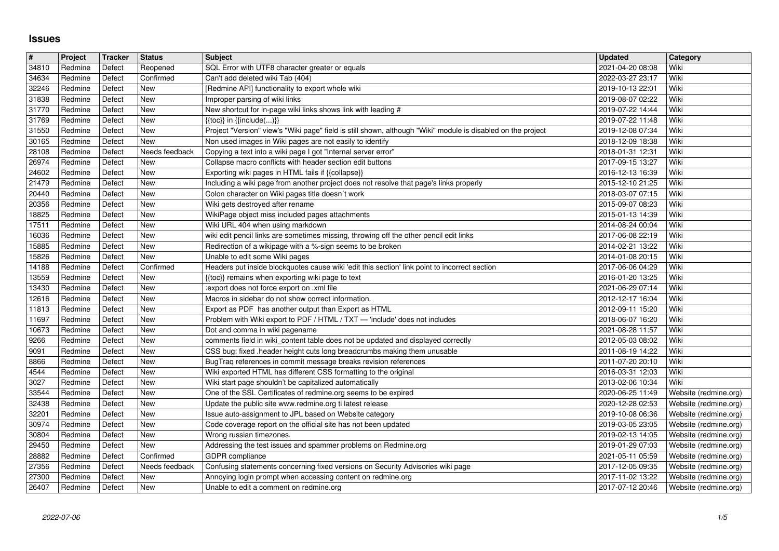## **Issues**

| $\pmb{\#}$     | Project            | Tracker          | Status                | <b>Subject</b>                                                                                                                                                  | <b>Updated</b>                       | <b>Category</b>                                |
|----------------|--------------------|------------------|-----------------------|-----------------------------------------------------------------------------------------------------------------------------------------------------------------|--------------------------------------|------------------------------------------------|
| 34810<br>34634 | Redmine<br>Redmine | Defect<br>Defect | Reopened<br>Confirmed | SQL Error with UTF8 character greater or equals<br>Can't add deleted wiki Tab (404)                                                                             | 2021-04-20 08:08<br>2022-03-27 23:17 | Wiki<br>Wiki                                   |
| 32246          | Redmine            | Defect           | New                   | [Redmine API] functionality to export whole wiki                                                                                                                | 2019-10-13 22:01                     | Wiki                                           |
| 31838<br>31770 | Redmine<br>Redmine | Defect<br>Defect | New<br>New            | Improper parsing of wiki links<br>New shortcut for in-page wiki links shows link with leading #                                                                 | 2019-08-07 02:22<br>2019-07-22 14:44 | Wiki<br>Wiki                                   |
| 31769          | Redmine            | Defect           | New                   | $\{\{toc\}\}\$ in $\{\{include(C, )\}\}\$                                                                                                                       | 2019-07-22 11:48                     | Wiki                                           |
| 31550          | Redmine            | Defect           | New                   | Project "Version" view's "Wiki page" field is still shown, although "Wiki" module is disabled on the project                                                    | 2019-12-08 07:34                     | Wiki                                           |
| 30165<br>28108 | Redmine<br>Redmine | Defect<br>Defect | New<br>Needs feedback | Non used images in Wiki pages are not easily to identify<br>Copying a text into a wiki page I got "Internal server error"                                       | 2018-12-09 18:38<br>2018-01-31 12:31 | Wiki<br>Wiki                                   |
| 26974          | Redmine            | Defect           | New                   | Collapse macro conflicts with header section edit buttons                                                                                                       | 2017-09-15 13:27                     | Wiki                                           |
| 24602          | Redmine            | Defect           | New                   | Exporting wiki pages in HTML fails if {{collapse}}                                                                                                              | 2016-12-13 16:39                     | Wiki                                           |
| 21479<br>20440 | Redmine<br>Redmine | Defect<br>Defect | New<br>New            | Including a wiki page from another project does not resolve that page's links properly<br>Colon character on Wiki pages title doesn't work                      | 2015-12-10 21:25<br>2018-03-07 07:15 | Wiki<br>Wiki                                   |
| 20356          | Redmine            | Defect           | New                   | Wiki gets destroyed after rename                                                                                                                                | 2015-09-07 08:23                     | Wiki                                           |
| 18825          | Redmine            | Defect           | New                   | WikiPage object miss included pages attachments                                                                                                                 | 2015-01-13 14:39                     | Wiki                                           |
| 17511<br>16036 | Redmine<br>Redmine | Defect<br>Defect | New<br>New            | Wiki URL 404 when using markdown<br>wiki edit pencil links are sometimes missing, throwing off the other pencil edit links                                      | 2014-08-24 00:04<br>2017-06-08 22:19 | Wiki<br>Wiki                                   |
| 15885          | Redmine            | Defect           | New                   | Redirection of a wikipage with a %-sign seems to be broken                                                                                                      | 2014-02-21 13:22                     | Wiki                                           |
| 15826          | Redmine            | Defect           | New                   | Unable to edit some Wiki pages                                                                                                                                  | 2014-01-08 20:15                     | Wiki                                           |
| 14188<br>13559 | Redmine<br>Redmine | Defect<br>Defect | Confirmed<br>New      | Headers put inside blockquotes cause wiki 'edit this section' link point to incorrect section<br>{{toc}} remains when exporting wiki page to text               | 2017-06-06 04:29<br>2016-01-20 13:25 | Wiki<br>  Wiki                                 |
| 13430          | Redmine            | Defect           | New                   | :export does not force export on .xml file                                                                                                                      | 2021-06-29 07:14                     | Wiki                                           |
| 12616          | Redmine            | Defect           | New                   | Macros in sidebar do not show correct information.                                                                                                              | 2012-12-17 16:04                     | Wiki                                           |
| 11813<br>11697 | Redmine<br>Redmine | Defect<br>Defect | New<br>New            | Export as PDF has another output than Export as HTML<br>Problem with Wiki export to PDF / HTML / TXT - 'include' does not includes                              | 2012-09-11 15:20<br>2018-06-07 16:20 | Wiki<br>Wiki                                   |
| 10673          | Redmine            | Defect           | New                   | Dot and comma in wiki pagename                                                                                                                                  | 2021-08-28 11:57                     | Wiki                                           |
| 9266           | Redmine            | Defect           | New                   | comments field in wiki_content table does not be updated and displayed correctly                                                                                | 2012-05-03 08:02                     | Wiki                                           |
| 9091<br>8866   | Redmine<br>Redmine | Defect<br>Defect | New<br>New            | CSS bug: fixed .header height cuts long breadcrumbs making them unusable<br>BugTraq references in commit message breaks revision references                     | 2011-08-19 14:22<br>2011-07-20 20:10 | Wiki<br>Wiki                                   |
| 4544           | Redmine            | Defect           | New                   | Wiki exported HTML has different CSS formatting to the original                                                                                                 | 2016-03-31 12:03                     | Wiki                                           |
| 3027           | Redmine            | Defect           | New                   | Wiki start page shouldn't be capitalized automatically                                                                                                          | 2013-02-06 10:34                     | Wiki                                           |
| 33544<br>32438 | Redmine<br>Redmine | Defect<br>Defect | New<br>New            | One of the SSL Certificates of redmine.org seems to be expired<br>Update the public site www.redmine.org ti latest release                                      | 2020-06-25 11:49<br>2020-12-28 02:53 | Website (redmine.org)<br>Website (redmine.org) |
| 32201          | Redmine            | Defect           | New                   | Issue auto-assignment to JPL based on Website category                                                                                                          | 2019-10-08 06:36                     | Website (redmine.org)                          |
| 30974          | Redmine            | Defect           | New                   | Code coverage report on the official site has not been updated                                                                                                  | 2019-03-05 23:05                     | Website (redmine.org)                          |
| 30804<br>29450 | Redmine<br>Redmine | Defect<br>Defect | New<br>New            | Wrong russian timezones.<br>Addressing the test issues and spammer problems on Redmine.org                                                                      | 2019-02-13 14:05<br>2019-01-29 07:03 | Website (redmine.org)<br>Website (redmine.org) |
| 28882          | Redmine            | Defect           | Confirmed             | GDPR compliance                                                                                                                                                 | 2021-05-11 05:59                     | Website (redmine.org)                          |
| 27356<br>27300 | Redmine<br>Redmine | Defect<br>Defect | New                   | Needs feedback   Confusing statements concerning fixed versions on Security Advisories wiki page<br>Annoying login prompt when accessing content on redmine.org | 2017-12-05 09:35<br>2017-11-02 13:22 | Website (redmine.org)<br>Website (redmine.org) |
| 26407          | Redmine            | Defect           | New                   | Unable to edit a comment on redmine.org                                                                                                                         | 2017-07-12 20:46                     | Website (redmine.org)                          |
|                |                    |                  |                       |                                                                                                                                                                 |                                      |                                                |
|                |                    |                  |                       |                                                                                                                                                                 |                                      |                                                |
|                |                    |                  |                       |                                                                                                                                                                 |                                      |                                                |
|                |                    |                  |                       |                                                                                                                                                                 |                                      |                                                |
|                |                    |                  |                       |                                                                                                                                                                 |                                      |                                                |
|                |                    |                  |                       |                                                                                                                                                                 |                                      |                                                |
|                |                    |                  |                       |                                                                                                                                                                 |                                      |                                                |
|                |                    |                  |                       |                                                                                                                                                                 |                                      |                                                |
|                |                    |                  |                       |                                                                                                                                                                 |                                      |                                                |
|                |                    |                  |                       |                                                                                                                                                                 |                                      |                                                |
|                |                    |                  |                       |                                                                                                                                                                 |                                      |                                                |
|                |                    |                  |                       |                                                                                                                                                                 |                                      |                                                |
|                |                    |                  |                       |                                                                                                                                                                 |                                      |                                                |
|                |                    |                  |                       |                                                                                                                                                                 |                                      |                                                |
|                |                    |                  |                       |                                                                                                                                                                 |                                      |                                                |
|                |                    |                  |                       |                                                                                                                                                                 |                                      |                                                |
|                |                    |                  |                       |                                                                                                                                                                 |                                      |                                                |
|                |                    |                  |                       |                                                                                                                                                                 |                                      |                                                |
|                |                    |                  |                       |                                                                                                                                                                 |                                      |                                                |
|                |                    |                  |                       |                                                                                                                                                                 |                                      |                                                |
|                |                    |                  |                       |                                                                                                                                                                 |                                      |                                                |
|                |                    |                  |                       |                                                                                                                                                                 |                                      |                                                |
|                |                    |                  |                       |                                                                                                                                                                 |                                      |                                                |
|                |                    |                  |                       |                                                                                                                                                                 |                                      |                                                |
|                |                    |                  |                       |                                                                                                                                                                 |                                      |                                                |
|                |                    |                  |                       |                                                                                                                                                                 |                                      |                                                |
|                |                    |                  |                       |                                                                                                                                                                 |                                      |                                                |
|                |                    |                  |                       |                                                                                                                                                                 |                                      |                                                |
|                |                    |                  |                       |                                                                                                                                                                 |                                      |                                                |
|                |                    |                  |                       |                                                                                                                                                                 |                                      |                                                |
|                |                    |                  |                       |                                                                                                                                                                 |                                      |                                                |
|                |                    |                  |                       |                                                                                                                                                                 |                                      |                                                |
|                |                    |                  |                       |                                                                                                                                                                 |                                      |                                                |
|                |                    |                  |                       |                                                                                                                                                                 |                                      |                                                |
|                |                    |                  |                       |                                                                                                                                                                 |                                      |                                                |
|                |                    |                  |                       |                                                                                                                                                                 |                                      |                                                |
|                |                    |                  |                       |                                                                                                                                                                 |                                      |                                                |
|                |                    |                  |                       |                                                                                                                                                                 |                                      |                                                |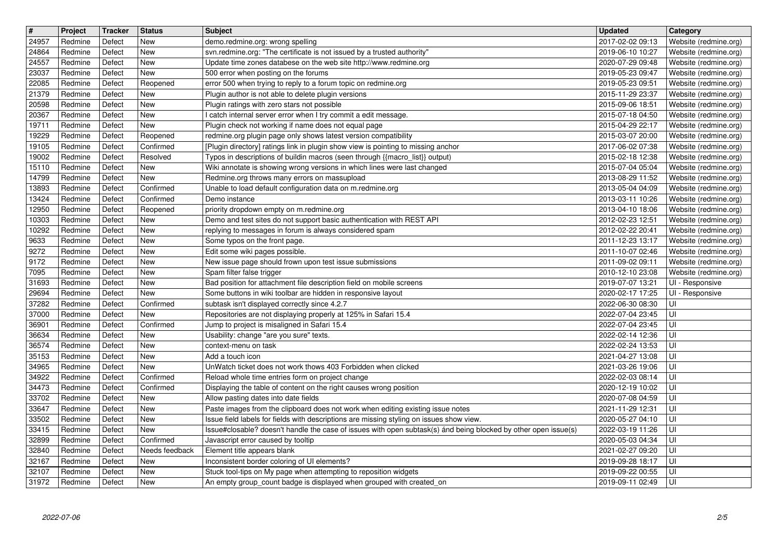| $\overline{\boldsymbol{H}}$ | Project            | Tracker          | <b>Status</b>               | Subject                                                                                                                                                                     | <b>Updated</b>                       | Category                                       |
|-----------------------------|--------------------|------------------|-----------------------------|-----------------------------------------------------------------------------------------------------------------------------------------------------------------------------|--------------------------------------|------------------------------------------------|
| 24957<br>24864              | Redmine<br>Redmine | Defect<br>Defect | New<br><b>New</b>           | demo.redmine.org: wrong spelling<br>svn.redmine.org: "The certificate is not issued by a trusted authority"                                                                 | 2017-02-02 09:13<br>2019-06-10 10:27 | Website (redmine.org)<br>Website (redmine.org) |
| 24557                       | Redmine            | Defect           | New                         | Update time zones databese on the web site http://www.redmine.org                                                                                                           | 2020-07-29 09:48                     | Website (redmine.org)                          |
| 23037<br>22085              | Redmine<br>Redmine | Defect<br>Defect | New<br>Reopened             | 500 error when posting on the forums<br>error 500 when trying to reply to a forum topic on redmine.org                                                                      | 2019-05-23 09:47<br>2019-05-23 09:51 | Website (redmine.org)<br>Website (redmine.org) |
| 21379                       | Redmine            | Defect           | <b>New</b>                  | Plugin author is not able to delete plugin versions                                                                                                                         | 2015-11-29 23:37                     | Website (redmine.org)                          |
| 20598<br>20367              | Redmine<br>Redmine | Defect<br>Defect | New<br>New                  | Plugin ratings with zero stars not possible<br>I catch internal server error when I try commit a edit message.                                                              | 2015-09-06 18:51<br>2015-07-18 04:50 | Website (redmine.org)<br>Website (redmine.org) |
| 19711                       | Redmine            | Defect           | New                         | Plugin check not working if name does not equal page                                                                                                                        | 2015-04-29 22:17                     | Website (redmine.org)                          |
| 19229<br>19105              | Redmine<br>Redmine | Defect<br>Defect | Reopened<br>Confirmed       | redmine.org plugin page only shows latest version compatibility<br>[Plugin directory] ratings link in plugin show view is pointing to missing anchor                        | 2015-03-07 20:00<br>2017-06-02 07:38 | Website (redmine.org)<br>Website (redmine.org) |
| 19002                       | Redmine            | Defect           | Resolved                    | Typos in descriptions of buildin macros (seen through {{macro_list}} output)                                                                                                | 2015-02-18 12:38                     | Website (redmine.org)                          |
| 15110<br>14799              | Redmine<br>Redmine | Defect<br>Defect | New<br>New                  | Wiki annotate is showing wrong versions in which lines were last changed<br>Redmine.org throws many errors on massupload                                                    | 2015-07-04 05:04                     | Website (redmine.org)                          |
| 13893                       | Redmine            | Defect           | Confirmed                   | Unable to load default configuration data on m.redmine.org                                                                                                                  | 2013-08-29 11:52<br>2013-05-04 04:09 | Website (redmine.org)<br>Website (redmine.org) |
| 13424                       | Redmine            | Defect           | Confirmed                   | Demo instance                                                                                                                                                               | 2013-03-11 10:26                     | Website (redmine.org)                          |
| 12950<br>10303              | Redmine<br>Redmine | Defect<br>Defect | Reopened<br>New             | priority dropdown empty on m.redmine.org<br>Demo and test sites do not support basic authentication with REST API                                                           | 2013-04-10 18:06<br>2012-02-23 12:51 | Website (redmine.org)<br>Website (redmine.org) |
| 10292                       | Redmine            | Defect           | New                         | replying to messages in forum is always considered spam                                                                                                                     | 2012-02-22 20:41                     | Website (redmine.org)                          |
| 9633<br>9272                | Redmine<br>Redmine | Defect<br>Defect | New<br>New                  | Some typos on the front page.<br>Edit some wiki pages possible.                                                                                                             | 2011-12-23 13:17<br>2011-10-07 02:46 | Website (redmine.org)<br>Website (redmine.org) |
| 9172                        | Redmine            | Defect           | New                         | New issue page should frown upon test issue submissions                                                                                                                     | 2011-09-02 09:11                     | Website (redmine.org)                          |
| 7095<br>31693               | Redmine<br>Redmine | Defect<br>Defect | New<br>New                  | Spam filter false trigger<br>Bad position for attachment file description field on mobile screens                                                                           | 2010-12-10 23:08<br>2019-07-07 13:21 | Website (redmine.org)<br>UI - Responsive       |
| 29694                       | Redmine            | Defect           | New                         | Some buttons in wiki toolbar are hidden in responsive layout                                                                                                                | 2020-02-17 17:25                     | UI - Responsive                                |
| 37282<br>37000              | Redmine<br>Redmine | Defect<br>Defect | Confirmed<br>New            | subtask isn't displayed correctly since 4.2.7<br>Repositories are not displaying properly at 125% in Safari 15.4                                                            | 2022-06-30 08:30<br>2022-07-04 23:45 | UI<br>UI                                       |
| 36901                       | Redmine            | Defect           | Confirmed                   | Jump to project is misaligned in Safari 15.4                                                                                                                                | 2022-07-04 23:45                     | UI                                             |
| 36634                       | Redmine            | Defect           | New<br>New                  | Usability: change "are you sure" texts.                                                                                                                                     | 2022-02-14 12:36                     | UI                                             |
| 36574<br>35153              | Redmine<br>Redmine | Defect<br>Defect | New                         | context-menu on task<br>Add a touch icon                                                                                                                                    | 2022-02-24 13:53<br>2021-04-27 13:08 | UI<br>UI                                       |
| 34965                       | Redmine            | Defect           | New                         | UnWatch ticket does not work thows 403 Forbidden when clicked                                                                                                               | 2021-03-26 19:06                     | luı                                            |
| 34922<br>34473              | Redmine<br>Redmine | Defect<br>Defect | Confirmed<br>Confirmed      | Reload whole time entries form on project change<br>Displaying the table of content on the right causes wrong position                                                      | 2022-02-03 08:14<br>2020-12-19 10:02 | UI<br>UI                                       |
| 33702                       | Redmine            | Defect           | New                         | Allow pasting dates into date fields                                                                                                                                        | 2020-07-08 04:59                     | UI                                             |
| 33647<br>33502              | Redmine<br>Redmine | Defect<br>Defect | New<br>New                  | Paste images from the clipboard does not work when editing existing issue notes<br>Issue field labels for fields with descriptions are missing styling on issues show view. | 2021-11-29 12:31<br>2020-05-27 04:10 | l UI<br>UI                                     |
| 33415                       | Redmine            | Defect           | <b>New</b>                  | Issue#closable? doesn't handle the case of issues with open subtask(s) ánd being blocked by other open issue(s)                                                             | 2022-03-19 11:26                     | UI                                             |
| 32899<br>32840              | Redmine<br>Redmine | Defect<br>Defect | Confirmed<br>Needs feedback | Javascript error caused by tooltip<br>Element title appears blank                                                                                                           | 2020-05-03 04:34<br>2021-02-27 09:20 | $\overline{\overline{\mathsf{u}}}$<br>luı      |
| 32167                       | Redmine            | Defect           | New                         | Inconsistent border coloring of UI elements?                                                                                                                                | 2019-09-28 18:17                     | l UI                                           |
| 32107<br>31972              | Redmine<br>Redmine | Defect<br>Defect | New<br>New                  | Stuck tool-tips on My page when attempting to reposition widgets<br>An empty group_count badge is displayed when grouped with created_on                                    | 2019-09-22 00:55<br>2019-09-11 02:49 | ∣∪ı<br>l UI                                    |
|                             |                    |                  |                             |                                                                                                                                                                             |                                      |                                                |
|                             |                    |                  |                             |                                                                                                                                                                             |                                      |                                                |
|                             |                    |                  |                             |                                                                                                                                                                             |                                      |                                                |
|                             |                    |                  |                             |                                                                                                                                                                             |                                      |                                                |
|                             |                    |                  |                             |                                                                                                                                                                             |                                      |                                                |
|                             |                    |                  |                             |                                                                                                                                                                             |                                      |                                                |
|                             |                    |                  |                             |                                                                                                                                                                             |                                      |                                                |
|                             |                    |                  |                             |                                                                                                                                                                             |                                      |                                                |
|                             |                    |                  |                             |                                                                                                                                                                             |                                      |                                                |
|                             |                    |                  |                             |                                                                                                                                                                             |                                      |                                                |
|                             |                    |                  |                             |                                                                                                                                                                             |                                      |                                                |
|                             |                    |                  |                             |                                                                                                                                                                             |                                      |                                                |
|                             |                    |                  |                             |                                                                                                                                                                             |                                      |                                                |
|                             |                    |                  |                             |                                                                                                                                                                             |                                      |                                                |
|                             |                    |                  |                             |                                                                                                                                                                             |                                      |                                                |
|                             |                    |                  |                             |                                                                                                                                                                             |                                      |                                                |
|                             |                    |                  |                             |                                                                                                                                                                             |                                      |                                                |
|                             |                    |                  |                             |                                                                                                                                                                             |                                      |                                                |
|                             |                    |                  |                             |                                                                                                                                                                             |                                      |                                                |
|                             |                    |                  |                             |                                                                                                                                                                             |                                      |                                                |
|                             |                    |                  |                             |                                                                                                                                                                             |                                      |                                                |
|                             |                    |                  |                             |                                                                                                                                                                             |                                      |                                                |
|                             |                    |                  |                             |                                                                                                                                                                             |                                      |                                                |
|                             |                    |                  |                             |                                                                                                                                                                             |                                      |                                                |
|                             |                    |                  |                             |                                                                                                                                                                             |                                      |                                                |
|                             |                    |                  |                             |                                                                                                                                                                             |                                      |                                                |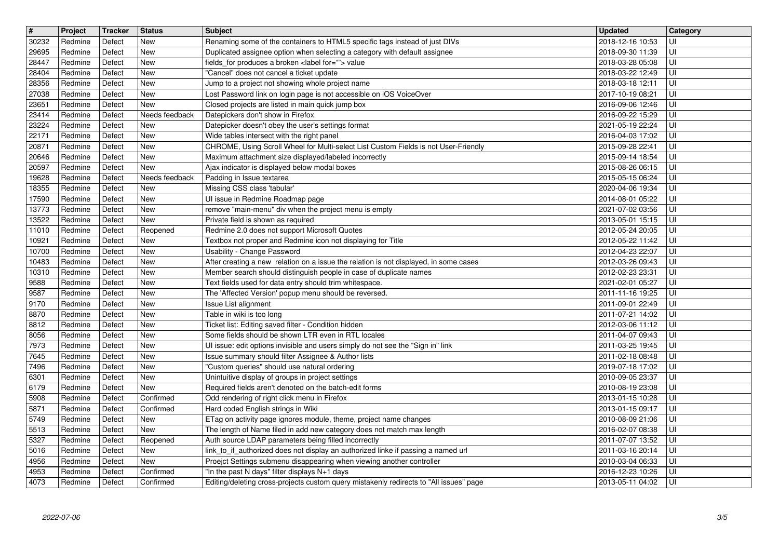| $\overline{\mathbf{H}}$ | Project            | Tracker          | <b>Status</b><br><b>New</b> | Subject<br>Renaming some of the containers to HTML5 specific tags instead of just DIVs                                                                     | <b>Updated</b>                       | <b>Category</b>         |
|-------------------------|--------------------|------------------|-----------------------------|------------------------------------------------------------------------------------------------------------------------------------------------------------|--------------------------------------|-------------------------|
| 30232<br>29695          | Redmine<br>Redmine | Defect<br>Defect | <b>New</b>                  | Duplicated assignee option when selecting a category with default assignee                                                                                 | 2018-12-16 10:53<br>2018-09-30 11:39 | UI<br>UI                |
| 28447<br>28404          | Redmine<br>Redmine | Defect<br>Defect | New<br><b>New</b>           | fields_for produces a broken <label for=""> value<br/>"Cancel" does not cancel a ticket update</label>                                                     | 2018-03-28 05:08<br>2018-03-22 12:49 | UI<br>l UI              |
| 28356                   | Redmine            | Defect           | <b>New</b>                  | Jump to a project not showing whole project name                                                                                                           | 2018-03-18 12:11                     | UI                      |
| 27038<br>23651          | Redmine<br>Redmine | Defect<br>Defect | <b>New</b><br><b>New</b>    | Lost Password link on login page is not accessible on iOS VoiceOver<br>Closed projects are listed in main quick jump box                                   | 2017-10-19 08:21<br>2016-09-06 12:46 | UI<br>UI                |
| 23414                   | Redmine            | Defect           | Needs feedback              | Datepickers don't show in Firefox                                                                                                                          | 2016-09-22 15:29                     | UI                      |
| 23224<br>22171          | Redmine<br>Redmine | Defect<br>Defect | New<br><b>New</b>           | Datepicker doesn't obey the user's settings format<br>Wide tables intersect with the right panel                                                           | 2021-05-19 22:24                     | UI<br>UI                |
| 20871                   | Redmine            | Defect           | New                         | CHROME, Using Scroll Wheel for Multi-select List Custom Fields is not User-Friendly                                                                        | 2016-04-03 17:02<br>2015-09-28 22:41 | UI                      |
| 20646<br>20597          | Redmine<br>Redmine | Defect<br>Defect | <b>New</b><br><b>New</b>    | Maximum attachment size displayed/labeled incorrectly<br>Ajax indicator is displayed below modal boxes                                                     | 2015-09-14 18:54<br>2015-08-26 06:15 | UI<br>UI                |
| 19628                   | Redmine            | Defect           | Needs feedback              | Padding in Issue textarea                                                                                                                                  | 2015-05-15 06:24                     | UI                      |
| 18355<br>17590          | Redmine<br>Redmine | Defect<br>Defect | New<br><b>New</b>           | Missing CSS class 'tabular'                                                                                                                                | 2020-04-06 19:34<br>2014-08-01 05:22 | UI<br>UI                |
| 13773                   | Redmine            | Defect           | <b>New</b>                  | UI issue in Redmine Roadmap page<br>remove "main-menu" div when the project menu is empty                                                                  | 2021-07-02 03:56                     | UI                      |
| 13522<br>11010          | Redmine<br>Redmine | Defect<br>Defect | <b>New</b><br>Reopened      | Private field is shown as required<br>Redmine 2.0 does not support Microsoft Quotes                                                                        | 2013-05-01 15:15<br>2012-05-24 20:05 | UI<br>UI                |
| 10921                   | Redmine            | Defect           | <b>New</b>                  | Textbox not proper and Redmine icon not displaying for Title                                                                                               | 2012-05-22 11:42                     | UI                      |
| 10700<br>10483          | Redmine<br>Redmine | Defect<br>Defect | <b>New</b><br><b>New</b>    | Usability - Change Password<br>After creating a new relation on a issue the relation is not displayed, in some cases                                       | 2012-04-23 22:07<br>2012-03-26 09:43 | UI<br>UI                |
| 10310                   | Redmine            | Defect           | <b>New</b>                  | Member search should distinguish people in case of duplicate names                                                                                         | 2012-02-23 23:31                     | UI                      |
| 9588<br>9587            | Redmine<br>Redmine | Defect<br>Defect | New<br><b>New</b>           | Text fields used for data entry should trim whitespace.<br>The 'Affected Version' popup menu should be reversed.                                           | 2021-02-01 05:27<br>2011-11-16 19:25 | UI<br>UI                |
| 9170                    | Redmine            | Defect           | New                         | Issue List alignment                                                                                                                                       | 2011-09-01 22:49                     | UI                      |
| 8870                    | Redmine            | Defect           | <b>New</b>                  | Table in wiki is too long                                                                                                                                  | 2011-07-21 14:02                     | UI                      |
| 8812<br>8056            | Redmine<br>Redmine | Defect<br>Defect | <b>New</b><br><b>New</b>    | Ticket list: Editing saved filter - Condition hidden<br>Some fields should be shown LTR even in RTL locales                                                | 2012-03-06 11:12<br>2011-04-07 09:43 | UI<br>UI                |
| 7973                    | Redmine            | Defect           | <b>New</b>                  | UI issue: edit options invisible and users simply do not see the "Sign in" link                                                                            | 2011-03-25 19:45                     | UI                      |
| 7645<br>7496            | Redmine<br>Redmine | Defect<br>Defect | <b>New</b><br><b>New</b>    | Issue summary should filter Assignee & Author lists<br>"Custom queries" should use natural ordering                                                        | 2011-02-18 08:48<br>2019-07-18 17:02 | UI<br>UI                |
| 6301                    | Redmine            | Defect           | <b>New</b>                  | Unintuitive display of groups in project settings                                                                                                          | 2010-09-05 23:37                     | UI                      |
| 6179<br>5908            | Redmine<br>Redmine | Defect<br>Defect | <b>New</b><br>Confirmed     | Required fields aren't denoted on the batch-edit forms<br>Odd rendering of right click menu in Firefox                                                     | 2010-08-19 23:08<br>2013-01-15 10:28 | UI<br>UI                |
| 5871                    | Redmine            | Defect           | Confirmed                   | Hard coded English strings in Wiki                                                                                                                         | 2013-01-15 09:17                     | UI                      |
| 5749<br>5513            | Redmine<br>Redmine | Defect<br>Defect | New<br>New                  | ETag on activity page ignores module, theme, project name changes<br>The length of Name filed in add new category does not match max length                | 2010-08-09 21:06<br>2016-02-07 08:38 | UI<br>UI                |
| 5327                    | Redmine            | Defect           | Reopened                    | Auth source LDAP parameters being filled incorrectly                                                                                                       | 2011-07-07 13:52                     | $\overline{\mathsf{U}}$ |
| 5016<br>4956            | Redmine<br>Redmine | Defect<br>Defect | New<br>New                  | link to if authorized does not display an authorized linke if passing a named url<br>Proejct Settings submenu disappearing when viewing another controller | 2011-03-16 20:14<br>2010-03-04 06:33 | l UI<br>l UI-           |
| 4953                    | Redmine            | Defect           | Confirmed                   | "In the past N days" filter displays N+1 days                                                                                                              | 2016-12-23 10:26                     | l UI-                   |
| 4073                    | Redmine            | Defect           | Confirmed                   | Editing/deleting cross-projects custom query mistakenly redirects to "All issues" page                                                                     | 2013-05-11 04:02                     | U                       |
|                         |                    |                  |                             |                                                                                                                                                            |                                      |                         |
|                         |                    |                  |                             |                                                                                                                                                            |                                      |                         |
|                         |                    |                  |                             |                                                                                                                                                            |                                      |                         |
|                         |                    |                  |                             |                                                                                                                                                            |                                      |                         |
|                         |                    |                  |                             |                                                                                                                                                            |                                      |                         |
|                         |                    |                  |                             |                                                                                                                                                            |                                      |                         |
|                         |                    |                  |                             |                                                                                                                                                            |                                      |                         |
|                         |                    |                  |                             |                                                                                                                                                            |                                      |                         |
|                         |                    |                  |                             |                                                                                                                                                            |                                      |                         |
|                         |                    |                  |                             |                                                                                                                                                            |                                      |                         |
|                         |                    |                  |                             |                                                                                                                                                            |                                      |                         |
|                         |                    |                  |                             |                                                                                                                                                            |                                      |                         |
|                         |                    |                  |                             |                                                                                                                                                            |                                      |                         |
|                         |                    |                  |                             |                                                                                                                                                            |                                      |                         |
|                         |                    |                  |                             |                                                                                                                                                            |                                      |                         |
|                         |                    |                  |                             |                                                                                                                                                            |                                      |                         |
|                         |                    |                  |                             |                                                                                                                                                            |                                      |                         |
|                         |                    |                  |                             |                                                                                                                                                            |                                      |                         |
|                         |                    |                  |                             |                                                                                                                                                            |                                      |                         |
|                         |                    |                  |                             |                                                                                                                                                            |                                      |                         |
|                         |                    |                  |                             |                                                                                                                                                            |                                      |                         |
|                         |                    |                  |                             |                                                                                                                                                            |                                      |                         |
|                         |                    |                  |                             |                                                                                                                                                            |                                      |                         |
|                         |                    |                  |                             |                                                                                                                                                            |                                      |                         |
|                         |                    |                  |                             |                                                                                                                                                            |                                      |                         |
|                         |                    |                  |                             |                                                                                                                                                            |                                      |                         |
|                         |                    |                  |                             |                                                                                                                                                            |                                      |                         |
|                         |                    |                  |                             |                                                                                                                                                            |                                      |                         |
|                         |                    |                  |                             |                                                                                                                                                            |                                      |                         |
|                         |                    |                  |                             |                                                                                                                                                            |                                      |                         |
|                         |                    |                  |                             |                                                                                                                                                            |                                      |                         |
|                         |                    |                  |                             |                                                                                                                                                            |                                      |                         |
|                         |                    |                  |                             |                                                                                                                                                            |                                      |                         |
|                         |                    |                  |                             |                                                                                                                                                            |                                      |                         |
|                         |                    |                  |                             |                                                                                                                                                            |                                      |                         |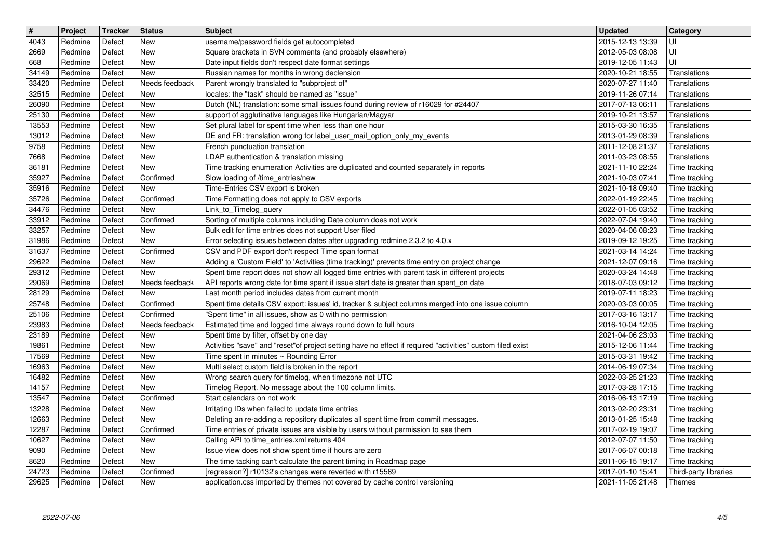| $\boxed{\texttt{#}}$ | Project            | Tracker          | <b>Status</b>         | <b>Subject</b>                                                                                                                                                                            | <b>Updated</b>                       | Category                       |
|----------------------|--------------------|------------------|-----------------------|-------------------------------------------------------------------------------------------------------------------------------------------------------------------------------------------|--------------------------------------|--------------------------------|
| 4043                 | Redmine            | Defect           | New                   | username/password fields get autocompleted                                                                                                                                                | 2015-12-13 13:39                     |                                |
| 2669<br>668          | Redmine<br>Redmine | Defect<br>Defect | New<br>New            | Square brackets in SVN comments (and probably elsewhere)<br>Date input fields don't respect date format settings                                                                          | 2012-05-03 08:08<br>2019-12-05 11:43 | UI<br>UI                       |
| 34149                | Redmine            | Defect           | New                   | Russian names for months in wrong declension                                                                                                                                              | 2020-10-21 18:55                     | Translations                   |
| 33420                | Redmine            | Defect           | Needs feedback        | Parent wrongly translated to "subproject of"                                                                                                                                              | 2020-07-27 11:40                     | Translations                   |
| 32515                | Redmine            | Defect           | New                   | locales: the "task" should be named as "issue"                                                                                                                                            | 2019-11-26 07:14                     | Translations                   |
| 26090<br>25130       | Redmine<br>Redmine | Defect<br>Defect | New<br>New            | Dutch (NL) translation: some small issues found during review of r16029 for #24407<br>support of agglutinative languages like Hungarian/Magyar                                            | 2017-07-13 06:11<br>2019-10-21 13:57 | Translations<br>Translations   |
| 13553                | Redmine            | Defect           | New                   | Set plural label for spent time when less than one hour                                                                                                                                   | 2015-03-30 16:35                     | Translations                   |
| 13012                | Redmine            | Defect           | New                   | DE and FR: translation wrong for label_user_mail_option_only_my_events                                                                                                                    | 2013-01-29 08:39                     | Translations                   |
| 9758                 | Redmine            | Defect           | New                   | French punctuation translation                                                                                                                                                            | 2011-12-08 21:37                     | Translations                   |
| 7668<br>36181        | Redmine<br>Redmine | Defect<br>Defect | New<br>New            | LDAP authentication & translation missing<br>Time tracking enumeration Activities are duplicated and counted separately in reports                                                        | 2011-03-23 08:55<br>2021-11-10 22:24 | Translations                   |
| 35927                | Redmine            | Defect           | Confirmed             | Slow loading of /time_entries/new                                                                                                                                                         | 2021-10-03 07:41                     | Time tracking<br>Time tracking |
| 35916                | Redmine            | Defect           | New                   | Time-Entries CSV export is broken                                                                                                                                                         | 2021-10-18 09:40                     | Time tracking                  |
| 35726                | Redmine            | Defect           | Confirmed             | Time Formatting does not apply to CSV exports                                                                                                                                             | 2022-01-19 22:45                     | Time tracking                  |
| 34476                | Redmine            | Defect           | New                   | Link to Timelog query                                                                                                                                                                     | 2022-01-05 03:52                     | Time tracking                  |
| 33912<br>33257       | Redmine<br>Redmine | Defect<br>Defect | Confirmed<br>New      | Sorting of multiple columns including Date column does not work<br>Bulk edit for time entries does not support User filed                                                                 | 2022-07-04 19:40<br>2020-04-06 08:23 | Time tracking<br>Time tracking |
| 31986                | Redmine            | Defect           | New                   | Error selecting issues between dates after upgrading redmine 2.3.2 to 4.0.x                                                                                                               | 2019-09-12 19:25                     | Time tracking                  |
| 31637                | Redmine            | Defect           | Confirmed             | CSV and PDF export don't respect Time span format                                                                                                                                         | 2021-03-14 14:24                     | Time tracking                  |
| 29622                | Redmine            | Defect           | New                   | Adding a 'Custom Field' to 'Activities (time tracking)' prevents time entry on project change                                                                                             | 2021-12-07 09:16                     | Time tracking                  |
| 29312<br>29069       | Redmine<br>Redmine | Defect<br>Defect | New<br>Needs feedback | Spent time report does not show all logged time entries with parent task in different projects<br>API reports wrong date for time spent if issue start date is greater than spent_on date | 2020-03-24 14:48<br>2018-07-03 09:12 | Time tracking<br>Time tracking |
| 28129                | Redmine            | Defect           | New                   | Last month period includes dates from current month                                                                                                                                       | 2019-07-11 18:23                     | Time tracking                  |
| 25748                | Redmine            | Defect           | Confirmed             | Spent time details CSV export: issues' id, tracker & subject columns merged into one issue column                                                                                         | 2020-03-03 00:05                     | Time tracking                  |
| 25106                | Redmine            | Defect           | Confirmed             | "Spent time" in all issues, show as 0 with no permission                                                                                                                                  | 2017-03-16 13:17                     | Time tracking                  |
| 23983                | Redmine            | Defect           | Needs feedback        | Estimated time and logged time always round down to full hours                                                                                                                            | 2016-10-04 12:05                     | Time tracking                  |
| 23189<br>19861       | Redmine<br>Redmine | Defect<br>Defect | New<br><b>New</b>     | Spent time by filter, offset by one day<br>Activities "save" and "reset"of project setting have no effect if required "activities" custom filed exist                                     | 2021-04-06 23:03<br>2015-12-06 11:44 | Time tracking<br>Time tracking |
| 17569                | Redmine            | Defect           | New                   | Time spent in minutes ~ Rounding Error                                                                                                                                                    | 2015-03-31 19:42                     | Time tracking                  |
| 16963                | Redmine            | Defect           | New                   | Multi select custom field is broken in the report                                                                                                                                         | 2014-06-19 07:34                     | Time tracking                  |
| 16482                | Redmine            | Defect           | New                   | Wrong search query for timelog, when timezone not UTC                                                                                                                                     | 2022-03-25 21:23                     | Time tracking                  |
| 14157<br>13547       | Redmine<br>Redmine | Defect<br>Defect | New<br>Confirmed      | Timelog Report. No message about the 100 column limits.<br>Start calendars on not work                                                                                                    | 2017-03-28 17:15<br>2016-06-13 17:19 | Time tracking<br>Time tracking |
| 13228                | Redmine            | Defect           | New                   | Irritating IDs when failed to update time entries                                                                                                                                         | 2013-02-20 23:31                     | Time tracking                  |
| 12663                | Redmine            | Defect           | New                   | Deleting an re-adding a repository duplicates all spent time from commit messages.                                                                                                        | 2013-01-25 15:48                     | Time tracking                  |
| 12287                | Redmine            | Defect           | Confirmed             | Time entries of private issues are visible by users without permission to see them                                                                                                        | 2017-02-19 19:07                     | Time tracking                  |
| 10627                | Redmine            | Defect           | New                   | Calling API to time_entries.xml returns 404                                                                                                                                               | 2012-07-07 11:50 Time tracking       |                                |
| 9090<br>8620         | Redmine<br>Redmine | Defect<br>Defect | New<br>New            | Issue view does not show spent time if hours are zero<br>The time tacking can't calculate the parent timing in Roadmap page                                                               | 2017-06-07 00:18<br>2011-06-15 19:17 | Time tracking<br>Time tracking |
| 24723                | Redmine            | Defect           | Confirmed             | [regression?] r10132's changes were reverted with r15569                                                                                                                                  | 2017-01-10 15:41                     | Third-party libraries          |
|                      |                    |                  |                       |                                                                                                                                                                                           |                                      |                                |
|                      |                    |                  |                       |                                                                                                                                                                                           |                                      |                                |
|                      |                    |                  |                       |                                                                                                                                                                                           |                                      |                                |
|                      |                    |                  |                       |                                                                                                                                                                                           |                                      |                                |
|                      |                    |                  |                       |                                                                                                                                                                                           |                                      |                                |
|                      |                    |                  |                       |                                                                                                                                                                                           |                                      |                                |
|                      |                    |                  |                       |                                                                                                                                                                                           |                                      |                                |
|                      |                    |                  |                       |                                                                                                                                                                                           |                                      |                                |
|                      |                    |                  |                       |                                                                                                                                                                                           |                                      |                                |
|                      |                    |                  |                       |                                                                                                                                                                                           |                                      |                                |
|                      |                    |                  |                       |                                                                                                                                                                                           |                                      |                                |
|                      |                    |                  |                       |                                                                                                                                                                                           |                                      |                                |
|                      |                    |                  |                       |                                                                                                                                                                                           |                                      |                                |
|                      |                    |                  |                       |                                                                                                                                                                                           |                                      |                                |
|                      |                    |                  |                       |                                                                                                                                                                                           |                                      |                                |
|                      |                    |                  |                       |                                                                                                                                                                                           |                                      |                                |
|                      |                    |                  |                       |                                                                                                                                                                                           |                                      |                                |
|                      |                    |                  |                       |                                                                                                                                                                                           |                                      |                                |